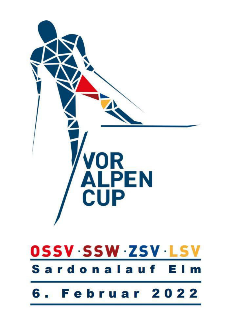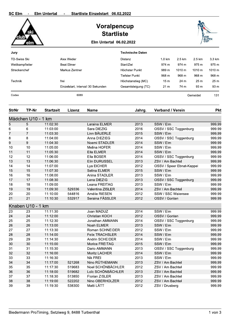| <b>SC Elm</b>       |                    | <b>Elm Untertal</b>  |                                    | Startliste Einzelstart 06.02.2022 |                         |                                    |        |          |                  |
|---------------------|--------------------|----------------------|------------------------------------|-----------------------------------|-------------------------|------------------------------------|--------|----------|------------------|
|                     |                    |                      |                                    | Voralpencup<br><b>Startliste</b>  |                         |                                    |        |          |                  |
|                     |                    |                      |                                    | <b>Elm Untertal 06.02.2022</b>    |                         |                                    |        |          |                  |
| Jury                |                    |                      |                                    |                                   | <b>Technische Daten</b> |                                    |        |          |                  |
| <b>TD-Swiss Ski</b> |                    |                      | Alex Weder                         |                                   | Distanz                 | $1.0 \text{ km}$                   | 2.5 km | 2.5 km   | 3.3 km           |
| Wettkampfleiter     |                    |                      | <b>Beat Elmer</b>                  |                                   | Start/Ziel              | 974 m                              | 974 m  | 975 m    | 975 m            |
|                     |                    |                      |                                    |                                   | Höchster Punkt          | 989 m                              | 1010 m | 1010 m   | 1010 m           |
| Streckenchef        |                    |                      | Markus Zentner                     |                                   | <b>Tiefster Punkt</b>   | 968 m                              | 968 m  | 968 m    | 968 m            |
|                     |                    |                      |                                    |                                   |                         |                                    |        |          |                  |
| Technik             |                    |                      | frei                               |                                   | Höchstanstieg (MC)      | 15 <sub>m</sub>                    | 24 m   | 25 m     | 25 m             |
|                     |                    |                      | Einzelstart, Intervall 30 Sekunden |                                   | Gesamtsteigung (TC)     | 21 <sub>m</sub>                    | 74 m   | 93 m     | 93 m             |
| Codex               |                    |                      | 6089                               |                                   |                         |                                    |        | Gemeldet | 131              |
| <b>StrNr</b>        | TP-Nr              | <b>Startzeit</b>     | Lizenz                             | <b>Name</b>                       | Jahrg.                  | <b>Verband / Verein</b>            |        |          | <b>Pkt</b>       |
|                     |                    |                      |                                    |                                   |                         |                                    |        |          |                  |
|                     | Mädchen U10 - 1 km |                      |                                    |                                   |                         |                                    |        |          |                  |
| 5                   | 5                  | 11:02:30             |                                    | Laraina ELMER                     | 2013                    | SSW / Elm                          |        |          | 999.99           |
| 6                   | 6                  | 11:03:00             |                                    | Sara DIEZIG                       | 2016                    | OSSV / SSC Toggenburg              |        |          | 999.99           |
| 7                   | 7                  | 11:03:30             |                                    | Linn BÄUERLE                      | 2015                    | SSW / Elm                          |        |          | 999.99           |
| 8                   | 8                  | 11:04:00             |                                    | Anna DIEZIEG                      | 2014                    | OSSV / SSC Toggenburg              |        |          | 999.99           |
| 9<br>10             | 9<br>10            | 11:04:30<br>11:05:00 |                                    | Noemi STADLER<br>Melina HOFER     | 2014<br>2014            | SSW / Elm<br>SSW / Elm             |        |          | 999.99<br>999.99 |
| 11                  | 11                 | 11:05:30             |                                    | Ella ELMER                        | 2014                    | SSW / Elm                          |        |          | 999.99           |
| 12                  | 12                 | 11:06:00             |                                    | Ella BOSER                        | 2014                    | OSSV / SSC Toggenburg              |        |          | 999.99           |
| 13                  | 13                 | 11:06:30             |                                    | Elin DURUSSEL                     | 2013                    | ZSV / Am Bachtel                   |        |          | 999.99           |
| 14                  | 14                 | 11:07:00             |                                    | Lya EICHER                        | 2012                    | OSSV / Speer Ebnat-Kappel          |        |          | 999.99           |
| 15                  | 15                 | 11:07:30             |                                    | Selina ELMER                      | 2015                    | SSW / Elm                          |        |          | 999.99           |
| 16                  | 16                 | 11:08:00             |                                    | Anina STADLER                     | 2013                    | SSW / Elm                          |        |          | 999.99           |
| 17                  | 17                 | 11:08:30             |                                    | Lena DIEZIG                       | 2013                    | OSSV / SSC Toggenburg              |        |          | 999.99           |
| 18                  | 18                 | 11:09:00             |                                    | Leana FREITAG                     | 2013                    | SSW / Elm                          |        |          | 999.99           |
| 19                  | 19                 | 11:09:30             | 529336                             | Valentina ZISLER                  | 2014                    | ZSV / Am Bachtel                   |        |          | 999.99           |
| 20                  | 20                 | 11:10:00             | 544816                             | Amélie RIESEN                     | 2012                    | SSW / SSC Walensee                 |        |          | 999.99           |
| 21                  | 21                 | 11:10:30             | 532917                             | Seraina FÄSSLER                   | 2012                    | OSSV / Gonten                      |        |          | 999.99           |
|                     | Knaben U10 - 1 km  |                      |                                    |                                   |                         |                                    |        |          |                  |
| 23                  | 23                 | 11:11:30             |                                    | Joan MADUZ                        | 2014                    | SSW / Elm                          |        |          | 999.99           |
| 24                  | 24                 | 11:12:00             |                                    | <b>Christian KOCH</b>             | 2012                    | OSSV / Gonten                      |        |          | 999.99           |
| 25                  | 25                 | 11:12:30             |                                    | Jonathan AMMANN                   | 2014                    | OSSV / SSC Toggenburg              |        |          | 999.99           |
| 26                  | 26                 | 11:13:00             |                                    | Noah ELMER                        | 2013                    | SSW / Elm                          |        |          | 999.99           |
| 27                  | 27                 | 11:13:30             |                                    | Roman SCHNEIDER                   | 2012                    | SSW / Elm                          |        |          | 999.99           |
| 28                  | 28                 | 11:14:00             |                                    | <b>Felix TRACHSLER</b>            | 2014                    | SSW / Elm                          |        |          | 999.99           |
| 29                  | 29                 | 11:14:30             |                                    | Andrin SCHEIDER                   | 2014                    | SSW / Elm                          |        |          | 999.99           |
| 30<br>31            | 30<br>31           | 11:15:00<br>11:15:30 |                                    | Morice FREITAG<br>Dario AMMANN    | 2015<br>2013            | SSW / Elm<br>OSSV / SSC Toggenburg |        |          | 999.99<br>999.99 |
| 32                  | 32                 | 11:16:00             |                                    | Moritz LACHER                     | 2014                    | SSW / Elm                          |        |          | 999.99           |
| 33                  | 33                 | 11:16:30             |                                    | Nik FREI                          | 2013                    | SSW / Elm                          |        |          | 999.99           |
| 34                  | 34                 | 11:17:00             | 521268                             | Nino RÜTHEMANN                    | 2013                    | ZSV / Am Bachtel                   |        |          | 999.99           |
| 35                  | 35                 | 11:17:30             | 519683                             | Noel SCHÖNBÄCHLER                 | 2012                    | ZSV / Am Bachtel                   |        |          | 999.99           |
| 36                  | 36                 | 11:18:00             | 519682                             | Loïc SCHÖNBÄCHLER                 | 2013                    | ZSV / Am Bachtel                   |        |          | 999.99           |
| 37                  | 37                 | 11:18:30             | 513850                             | Florian ZISLER                    | 2013                    | ZSV / Am Bachtel                   |        |          | 999.99           |
| 38                  | 38                 | 11:19:00             | 522202                             | Nino OBERHOLZER                   | 2012                    | ZSV / Am Bachtel                   |        |          | 999.99           |
| 39                  | 39                 | 11:19:30             | 538300                             | Matti LÄTT                        | 2012                    | ZSV / Drusberg                     |        |          | 999.99           |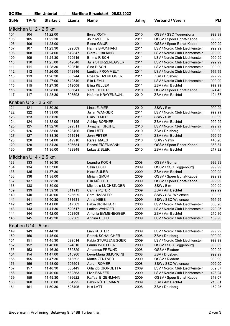## SC Elm - Elm Untertal Startliste Einzelstart 06.02.2022  $\sim$

| <b>StrNr</b> | TP-Nr                | <b>Startzeit</b> | Lizenz | <b>Name</b>               | Jahrg. | <b>Verband / Verein</b>         | <b>Pkt</b> |
|--------------|----------------------|------------------|--------|---------------------------|--------|---------------------------------|------------|
|              | Mädchen U12 - 2.5 km |                  |        |                           |        |                                 |            |
| 104          | 104                  | 11:22:00         |        | Ilenia ROTH               | 2010   | OSSV / SSC Toggenburg           | 999.99     |
| 105          | 105                  | 11:22:30         |        | Jolin MÜLLER              | 2011   | OSSV / Speer Ebnat-Kappel       | 999.99     |
| 106          | 106                  | 11:23:00         |        | Elena GMÜR                | 2011   | OSSV / Speer Ebnat-Kappel       | 999.99     |
| 107          | 107                  | 11:23:30         | 529509 | Hanna BRUNHART            | 2011   | LSV / Nordic Club Liechtenstein | 999.99     |
| 108          | 108                  | 11:24:00         | 542847 | Clara-Luisa KIND          | 2011   | LSV / Nordic Club Liechtenstein | 999.99     |
| 109          | 109                  | 11:24:30         | 529515 | Emma RISCH                | 2011   | LSV / Nordic Club Liechtenstein | 999.99     |
| 110          | 110                  | 11:25:00         | 542848 | Julia STURZENEGGER        | 2011   | LSV / Nordic Club Liechtenstein | 999.99     |
| 111          | 111                  | 11:25:30         | 529516 | Sina RISCH                | 2011   | LSV / Nordic Club Liechtenstein | 999.99     |
| 112          | 112                  | 11:26:00         | 542846 | Laetitia FROMMELT         | 2011   | LSV / Nordic Club Liechtenstein | 999.99     |
| 113          | 113                  | 11:26:30         | 505244 | Rosa WEIZENEGGER          | 2011   | ZSV / Drusberg                  | 999.99     |
| 114          | 114                  | 11:27:00         | 542849 | Ella UEHLI                | 2011   | LSV / Nordic Club Liechtenstein | 999.99     |
| 115          | 115                  | 11:27:30         | 512008 | Elina KELLER              | 2011   | ZSV / Am Bachtel                | 999.99     |
| 116          | 116                  | 11:28:00         | 505641 | Yara EICHER               | 2010   | OSSV / Speer Ebnat-Kappel       | 324.43     |
| 117          | 117                  | 11:28:30         | 505593 | Noémie KRAYENBÜHL         | 2010   | ZSV / Am Bachtel                | 124.57     |
|              | Knaben U12 - 2.5 km  |                  |        |                           |        |                                 |            |
| 121          | 121                  | 11:30:30         |        | Linus ELMER               | 2010   | SSW / Elm                       | 999.99     |
| 122          | 122                  | 11:31:00         |        | Julian WANGER             | 2011   | LSV / Nordic Club Liechtenstein | 999.99     |
| 123          | 123                  | 11:31:30         |        | <b>Elias ELMER</b>        | 2011   | SSW / Elm                       | 999.99     |
| 124          | 124                  | 11:32:00         | 543195 | Ashley BÖRNER             | 2011   | ZSV / Am Bachtel                | 999.99     |
| 125          | 125                  | 11:32:30         | 529511 | Jonathan GRUHL            | 2010   | LSV / Nordic Club Liechtenstein | 999.99     |
| 126          | 126                  | 11:33:00         | 528496 | Finn LÄTT                 | 2010   | ZSV / Drusberg                  | 999.99     |
| 127          | 127                  | 11:33:30         | 511914 | Jonn PETER                | 2011   | ZSV / Am Bachtel                | 999.99     |
| 128          | 128                  | 11:34:00         | 519910 | Rafael MAES               | 2010   | SSW / Vättis                    | 445.20     |
| 129          | 129                  | 11:34:30         | 506684 | Pascal EIGENMANN          | 2011   | OSSV / Speer Ebnat-Kappel       | 368.84     |
| 130          | 130                  | 11:35:00         | 493948 | Lukas ZISLER              | 2010   | ZSV / Am Bachtel                | 217.32     |
|              | Mädchen U14 - 2.5 km |                  |        |                           |        |                                 |            |
| 133          | 133                  | 11:36:30         |        | Leandra KOCH              | 2008   | OSSV / Gonten                   | 999.99     |
| 134          | 134                  | 11:37:00         |        | Selin LUSTI               | 2009   | OSSV / SSC Toggenburg           | 999.99     |
| 135          | 135                  | 11:37:30         |        | Klara SULER               | 2009   | ZSV / Am Bachtel                | 999.99     |
| 136          | 136                  | 11:38:00         |        | Miriam GMÜR               | 2009   | OSSV / Speer Ebnat-Kappel       | 999.99     |
| 137          | 137                  | 11:38:30         |        | Elin MÜLLER               | 2009   | OSSV / Speer Ebnat-Kappel       | 999.99     |
| 138          | 138                  | 11:39:00         |        | Michaela LUCHSINGER       | 2009   | SSW / Elm                       | 999.99     |
| 139          | 139                  | 11:39:30         | 511913 | Carina PETER              | 2009   | ZSV / Am Bachtel                | 999.99     |
| 140          | 140                  | 11:40:00         | 523629 | Sara HASSLER              | 2008   | SSW / SSC Walensee              | 999.99     |
| 141          | 141                  | 11:40:30         | 531631 | Anna HEEB                 | 2009   | SSW / SSC Walensee              | 999.99     |
| 142          | 142                  | 11:41:00         | 517563 | Fabia BRUNHART            | 2008   | LSV / Nordic Club Liechtenstein | 356.20     |
| 143          | 143                  | 11:41:30         | 529517 | Ladina WANGER             | 2009   | LSV / Nordic Club Liechtenstein | 229.95     |
| 144          | 144                  | 11:42:00         | 502909 | Antonia EMMENEGGER        | 2009   | ZSV / Am Bachtel                | 210.86     |
| 145          | 145                  | 11:42:30         | 532362 | Annina UEHLI              | 2009   | LSV / Nordic Club Liechtenstein | 169.90     |
|              | Knaben U14 - 5 km    |                  |        |                           |        |                                 |            |
| 149          | 149                  | 11:44:30         |        | Lian KUSTER               | 2009   | LSV / Nordic Club Liechtenstein | 999.99     |
| 150          | 150                  | 11:45:00         |        | <b>Patrick SCHALCHER</b>  | 2008   | ZSV / Drusberg                  | 999.99     |
| 151          | 151                  | 11:45:30         | 529514 | <b>Fabio STURZENEGGER</b> | 2009   | LSV / Nordic Club Liechtenstein | 999.99     |
| 152          | 152                  | 11:46:00         | 524810 | Laurin INHELDER           | 2009   | OSSV / SSC Toggenburg           | 999.99     |
| 153          | 153                  | 11:46:30         | 532329 | Amadeus FREUND            | 2008   | OSSV / Riedern                  | 999.99     |
| 154          | 154                  | 11:47:00         | 515960 | Leon-Maria SIMONCINI      | 2008   | ZSV / Drusberg                  | 999.99     |
| 155          | 155                  | 11:47:30         | 516592 | Mattia ZENTNER            | 2009   | OSSV / Riedern                  | 999.99     |
| 156          | 156                  | 11:48:00         | 506501 | Aaron ROMER               | 2008   | SSW / SSC Walensee              | 999.00     |
| 157          | 157                  | 11:48:30         | 538449 | Orlando GIORGETTA         | 2009   | LSV / Nordic Club Liechtenstein | 502.07     |
| 158          | 158                  | 11:49:00         | 532363 | Livio BANZER              | 2009   | LSV / Nordic Club Liechtenstein | 428.24     |
| 159          | 159                  | 11:49:30         | 486622 | Raffael EIGENMANN         | 2009   | OSSV / Speer Ebnat-Kappel       | 318.07     |
| 160          | 160                  | 11:50:00         | 504295 | Fabio RÜTHEMANN           | 2009   | ZSV / Am Bachtel                | 216.61     |
| 161          | 161                  | 11:50:30         | 528495 | Nils LÄTT                 | 2008   | ZSV / Drusberg                  | 162.25     |